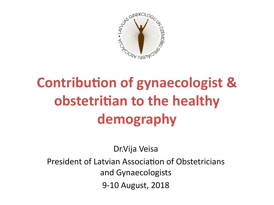

# **Contribution of gynaecologist & obstetritan to the healthy demography**

Dr.Vija Veisa

President of Latvian Associaton of Obstetricians and Gynaecologists

9-10 August, 2018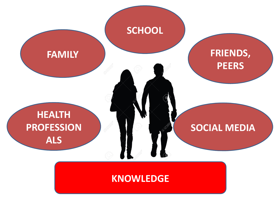

#### **KNOWLEDGE**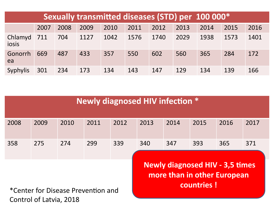| Sexually transmitted diseases (STD) per 100 000* |      |      |      |      |      |      |      |      |      |      |  |
|--------------------------------------------------|------|------|------|------|------|------|------|------|------|------|--|
|                                                  | 2007 | 2008 | 2009 | 2010 | 2011 | 2012 | 2013 | 2014 | 2015 | 2016 |  |
| Chlamyd<br>iosis                                 | 711  | 704  | 1127 | 1042 | 1576 | 1740 | 2029 | 1938 | 1573 | 1401 |  |
| Gonorrh<br>ea                                    | 669  | 487  | 433  | 357  | 550  | 602  | 560  | 365  | 284  | 172  |  |
| <b>Syphylis</b>                                  | 301  | 234  | 173  | 134  | 143  | 147  | 129  | 134  | 139  | 166  |  |

| <b>Newly diagnosed HIV infection *</b> |      |      |      |      |      |      |      |      |      |  |  |
|----------------------------------------|------|------|------|------|------|------|------|------|------|--|--|
| 2008                                   | 2009 | 2010 | 2011 | 2012 | 2013 | 2014 | 2015 | 2016 | 2017 |  |  |
| 358                                    | 275  | 274  | 299  | 339  | 340  | 347  | 393  | 365  | 371  |  |  |

**countries !** \*Center for Disease Preventon and Control of Latvia, 2018

**Newly diagnosed HIV - 3,5 tmes more than in other European**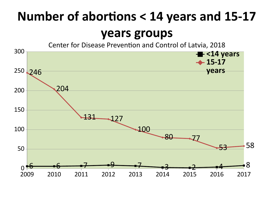# **Number of abortons < 14 years and 15-17**

#### **years groups**

Center for Disease Prevention and Control of Latvia, 2018

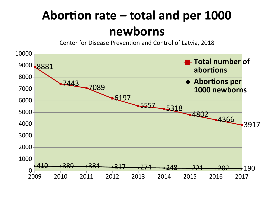## Abortion rate – total and per 1000 **newborns**

Center for Disease Prevention and Control of Latvia, 2018

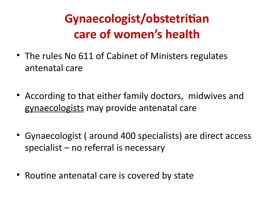- The rules No 611 of Cabinet of Ministers regulates antenatal care
- According to that either family doctors, midwives and gynaecologists may provide antenatal care
- Gynaecologist ( around 400 specialists) are direct access specialist – no referral is necessary
- Routine antenatal care is covered by state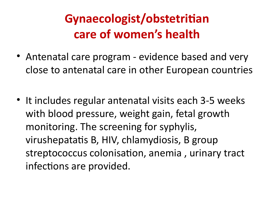- Antenatal care program evidence based and very close to antenatal care in other European countries
- It includes regular antenatal visits each 3-5 weeks with blood pressure, weight gain, fetal growth monitoring. The screening for syphylis, virushepatats B, HIV, chlamydiosis, B group streptococcus colonisation, anemia, urinary tract infections are provided.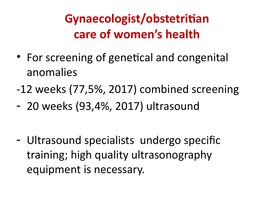- For screening of genetical and congenital anomalies
- -12 weeks (77,5%, 2017) combined screening
- 20 weeks (93,4%, 2017) ultrasound

- Ultrasound specialists undergo specific training; high quality ultrasonography equipment is necessary.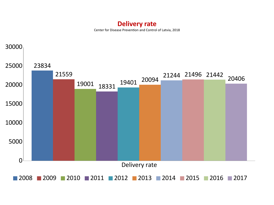#### **Delivery rate**

Center for Disease Prevention and Control of Latvia, 2018

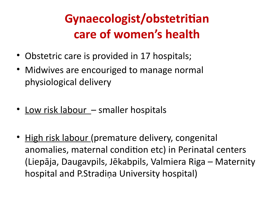- Obstetric care is provided in 17 hospitals;
- Midwives are encouriged to manage normal physiological delivery
- Low risk labour smaller hospitals
- High risk labour (premature delivery, congenital anomalies, maternal conditon etc) in Perinatal centers (Liepāja, Daugavpils, Jēkabpils, Valmiera Riga – Maternity hospital and P.Stradiņa University hospital)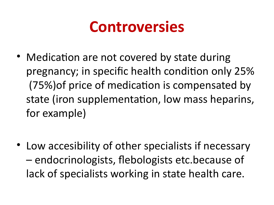# **Controversies**

• Medication are not covered by state during pregnancy; in specifc health conditon only 25% (75%)of price of medicaton is compensated by state (iron supplementation, low mass heparins, for example)

• Low accesibility of other specialists if necessary – endocrinologists, febologists etc.because of lack of specialists working in state health care.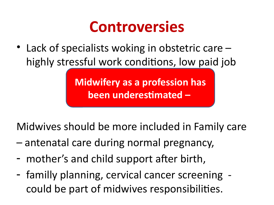# **Controversies**

• Lack of specialists woking in obstetric care – highly stressful work conditions, low paid job

> **Midwifery as a profession has been underestmated –**

Midwives should be more included in Family care

- antenatal care during normal pregnancy,
- mother's and child support after birth,
- familly planning, cervical cancer screening could be part of midwives responsibilites.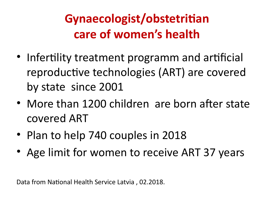- Infertility treatment programm and artificial reproductive technologies (ART) are covered by state since 2001
- More than 1200 children are born after state covered ART
- Plan to help 740 couples in 2018
- Age limit for women to receive ART 37 years

Data from National Health Service Latvia, 02.2018.